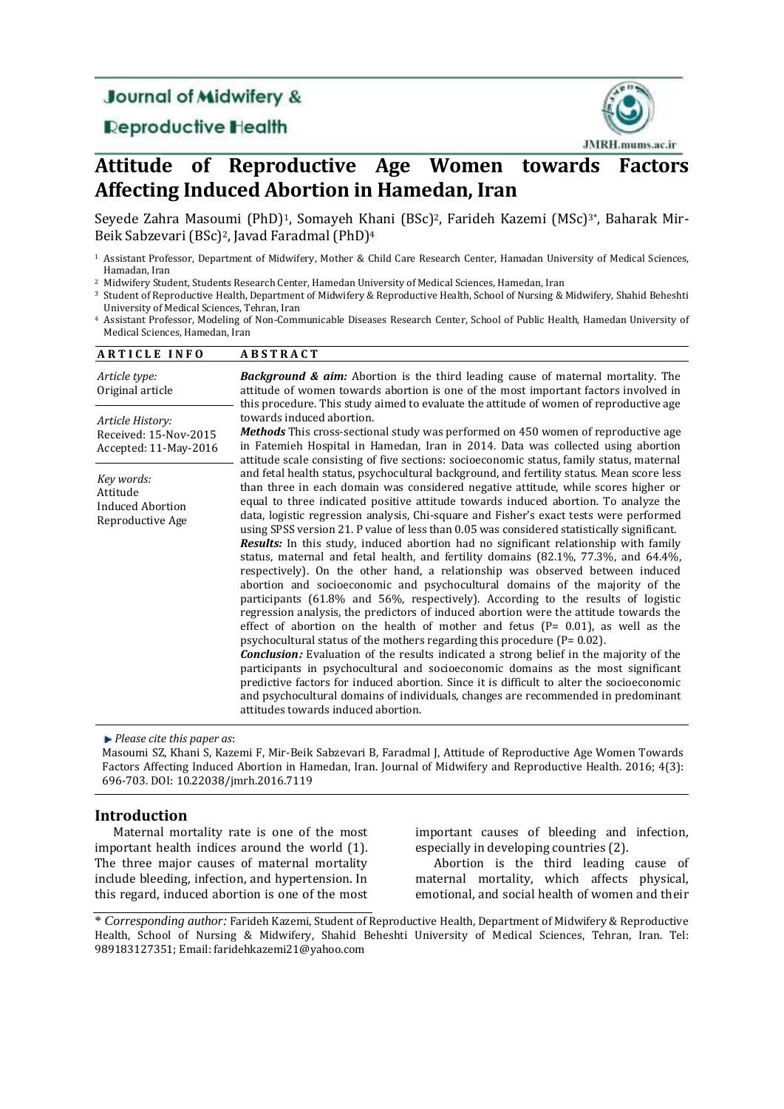# **Journal of Midwifery &**

# **Deproductive Health**



# **Attitude of Reproductive Age Women towards Factors Affecting Induced Abortion in Hamedan, Iran**

Seyede Zahra Masoumi (PhD)<sup>1</sup>, Somayeh Khani (BSc)<sup>2</sup>, Farideh Kazemi (MSc)<sup>3\*</sup>, Baharak Mir-Beik Sabzevari (BSc) <sup>2</sup>, Javad Faradmal (PhD)<sup>4</sup>

<sup>2</sup> Midwifery Student, Students Research Center, Hamedan University of Medical Sciences, Hamedan, Iran

<sup>3</sup> Student of Reproductive Health, Department of Midwifery & Reproductive Health, School of Nursing & Midwifery, Shahid Beheshti University of Medical Sciences, Tehran, Iran

<sup>4</sup> Assistant Professor, Modeling of Non-Communicable Diseases Research Center, School of Public Health, Hamedan University of Medical Sciences, Hamedan, Iran

| <b>ARTICLE INFO</b>                                                | <b>ABSTRACT</b>                                                                                                                                                                                                                                                                                                                                                                                                                                                                                                                                                                                                                                                                                                                                                                                                                                                                                                                                                                                                                                                                                                                                                                                                                                                                                                                                                                                                                                                                                                                                                                                 |
|--------------------------------------------------------------------|-------------------------------------------------------------------------------------------------------------------------------------------------------------------------------------------------------------------------------------------------------------------------------------------------------------------------------------------------------------------------------------------------------------------------------------------------------------------------------------------------------------------------------------------------------------------------------------------------------------------------------------------------------------------------------------------------------------------------------------------------------------------------------------------------------------------------------------------------------------------------------------------------------------------------------------------------------------------------------------------------------------------------------------------------------------------------------------------------------------------------------------------------------------------------------------------------------------------------------------------------------------------------------------------------------------------------------------------------------------------------------------------------------------------------------------------------------------------------------------------------------------------------------------------------------------------------------------------------|
| Article type:<br>Original article                                  | <b>Background &amp; aim:</b> Abortion is the third leading cause of maternal mortality. The<br>attitude of women towards abortion is one of the most important factors involved in<br>this procedure. This study aimed to evaluate the attitude of women of reproductive age                                                                                                                                                                                                                                                                                                                                                                                                                                                                                                                                                                                                                                                                                                                                                                                                                                                                                                                                                                                                                                                                                                                                                                                                                                                                                                                    |
| Article History:<br>Received: 15-Nov-2015<br>Accepted: 11-May-2016 | towards induced abortion.<br><b>Methods</b> This cross-sectional study was performed on 450 women of reproductive age<br>in Fatemieh Hospital in Hamedan, Iran in 2014. Data was collected using abortion<br>attitude scale consisting of five sections: socioeconomic status, family status, maternal                                                                                                                                                                                                                                                                                                                                                                                                                                                                                                                                                                                                                                                                                                                                                                                                                                                                                                                                                                                                                                                                                                                                                                                                                                                                                          |
| Key words:<br>Attitude<br>Induced Abortion<br>Reproductive Age     | and fetal health status, psychocultural background, and fertility status. Mean score less<br>than three in each domain was considered negative attitude, while scores higher or<br>equal to three indicated positive attitude towards induced abortion. To analyze the<br>data, logistic regression analysis, Chi-square and Fisher's exact tests were performed<br>using SPSS version 21. P value of less than 0.05 was considered statistically significant.<br><b>Results:</b> In this study, induced abortion had no significant relationship with family<br>status, maternal and fetal health, and fertility domains $(82.1\%, 77.3\%,$ and $64.4\%$ ,<br>respectively). On the other hand, a relationship was observed between induced<br>abortion and socioeconomic and psychocultural domains of the majority of the<br>participants (61.8% and 56%, respectively). According to the results of logistic<br>regression analysis, the predictors of induced abortion were the attitude towards the<br>effect of abortion on the health of mother and fetus ( $P = 0.01$ ), as well as the<br>psychocultural status of the mothers regarding this procedure ( $P = 0.02$ ).<br><b>Conclusion:</b> Evaluation of the results indicated a strong belief in the majority of the<br>participants in psychocultural and socioeconomic domains as the most significant<br>predictive factors for induced abortion. Since it is difficult to alter the socioeconomic<br>and psychocultural domains of individuals, changes are recommended in predominant<br>attitudes towards induced abortion. |

*Please cite this paper as*:

Masoumi SZ, Khani S, Kazemi F, Mir-Beik Sabzevari B, Faradmal J, Attitude of Reproductive Age Women Towards Factors Affecting Induced Abortion in Hamedan, Iran. Journal of Midwifery and Reproductive Health. 2016; 4(3): 696-703. DOI: 10.22038/jmrh.2016.7119

## **Introduction**

Maternal mortality rate is one of the most important health indices around the world [\(1\)](#page-6-0). The three major causes of maternal mortality include bleeding, infection, and hypertension. In this regard, induced abortion is one of the most important causes of bleeding and infection, especially in developing countries [\(2\)](#page-6-1).

Abortion is the third leading cause of maternal mortality, which affects physical, emotional, and social health of women and their

<sup>1</sup> Assistant Professor, Department of Midwifery, Mother & Child Care Research Center, Hamadan University of Medical Sciences, Hamadan, Iran

<sup>\*</sup> *Corresponding author:* Farideh Kazemi, Student of Reproductive Health, Department of Midwifery & Reproductive Health, School of Nursing & Midwifery, Shahid Beheshti University of Medical Sciences, Tehran, Iran. [Tel:](tel:+989183127351)  [989183127351;](tel:+989183127351) Email[: faridehkazemi21@yahoo.com](mailto:faridehkazemi21@yahoo.com)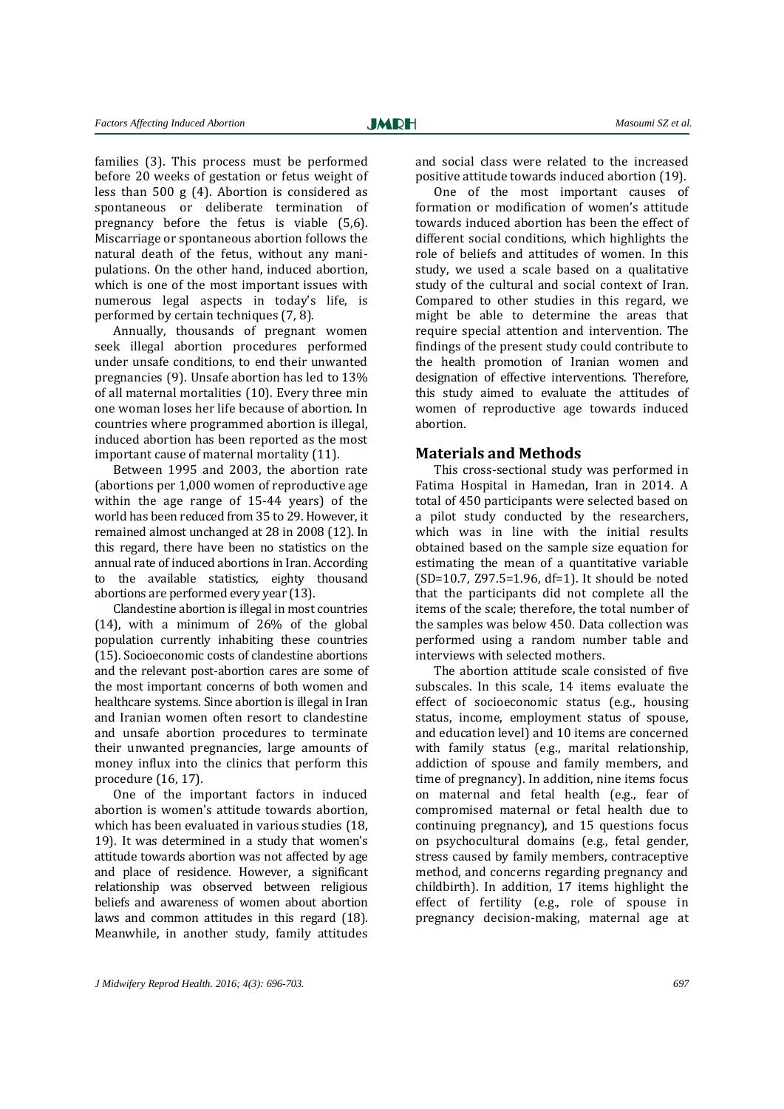families [\(3\)](#page-6-2). This process must be performed before 20 weeks of gestation or fetus weight of less than 500 g [\(4\)](#page-6-3). Abortion is considered as spontaneous or deliberate termination of pregnancy before the fetus is viable [\(5,](#page-6-4)6). Miscarriage or spontaneous abortion follows the natural death of the fetus, without any manipulations. On the other hand, induced abortion, which is one of the most important issues with numerous legal aspects in today's life, is performed by certain techniques (7, 8).

Annually, thousands of pregnant women seek illegal abortion procedures performed under unsafe conditions, to end their unwanted pregnancies [\(9\)](#page-6-5). Unsafe abortion has led to 13% of all maternal mortalities [\(10\)](#page-7-0). Every three min one woman loses her life because of abortion. In countries where programmed abortion is illegal, induced abortion has been reported as the most important cause of maternal mortality [\(11\)](#page-7-1).

Between 1995 and 2003, the abortion rate (abortions per 1,000 women of reproductive age within the age range of 15-44 years) of the world has been reduced from 35 to 29. However, it remained almost unchanged at 28 in 2008 [\(12\)](#page-7-2). In this regard, there have been no statistics on the annual rate of induced abortions in Iran. According to the available statistics, eighty thousand abortions are performed every year [\(13\)](#page-7-3).

Clandestine abortion is illegal in most countries [\(14\)](#page-7-4), with a minimum of 26% of the global population currently inhabiting these countries [\(15\)](#page-7-5). Socioeconomic costs of clandestine abortions and the relevant post-abortion cares are some of the most important concerns of both women and healthcare systems. Since abortion is illegal in Iran and Iranian women often resort to clandestine and unsafe abortion procedures to terminate their unwanted pregnancies, large amounts of money influx into the clinics that perform this procedure [\(16,](#page-7-6) 17).

One of the important factors in induced abortion is women's attitude towards abortion, which has been evaluated in various studies (18, 19). It was determined in a study that women's attitude towards abortion was not affected by age and place of residence. However, a significant relationship was observed between religious beliefs and awareness of women about abortion laws and common attitudes in this regard [\(18\)](#page-7-7). Meanwhile, in another study, family attitudes

and social class were related to the increased

positive attitude towards induced abortion [\(19\)](#page-7-8). One of the most important causes of formation or modification of women's attitude towards induced abortion has been the effect of different social conditions, which highlights the role of beliefs and attitudes of women. In this study, we used a scale based on a qualitative study of the cultural and social context of Iran. Compared to other studies in this regard, we might be able to determine the areas that require special attention and intervention. The findings of the present study could contribute to the health promotion of Iranian women and designation of effective interventions. Therefore, this study aimed to evaluate the attitudes of women of reproductive age towards induced abortion.

### **Materials and Methods**

This cross-sectional study was performed in Fatima Hospital in Hamedan, Iran in 2014. A total of 450 participants were selected based on a pilot study conducted by the researchers, which was in line with the initial results obtained based on the sample size equation for estimating the mean of a quantitative variable (SD=10.7, Z97.5=1.96, df=1). It should be noted that the participants did not complete all the items of the scale; therefore, the total number of the samples was below 450. Data collection was performed using a random number table and interviews with selected mothers.

The abortion attitude scale consisted of five subscales. In this scale, 14 items evaluate the effect of socioeconomic status (e.g., housing status, income, employment status of spouse, and education level) and 10 items are concerned with family status (e.g., marital relationship, addiction of spouse and family members, and time of pregnancy). In addition, nine items focus on maternal and fetal health (e.g., fear of compromised maternal or fetal health due to continuing pregnancy), and 15 questions focus on psychocultural domains (e.g., fetal gender, stress caused by family members, contraceptive method, and concerns regarding pregnancy and childbirth). In addition, 17 items highlight the effect of fertility (e.g., role of spouse in pregnancy decision-making, maternal age at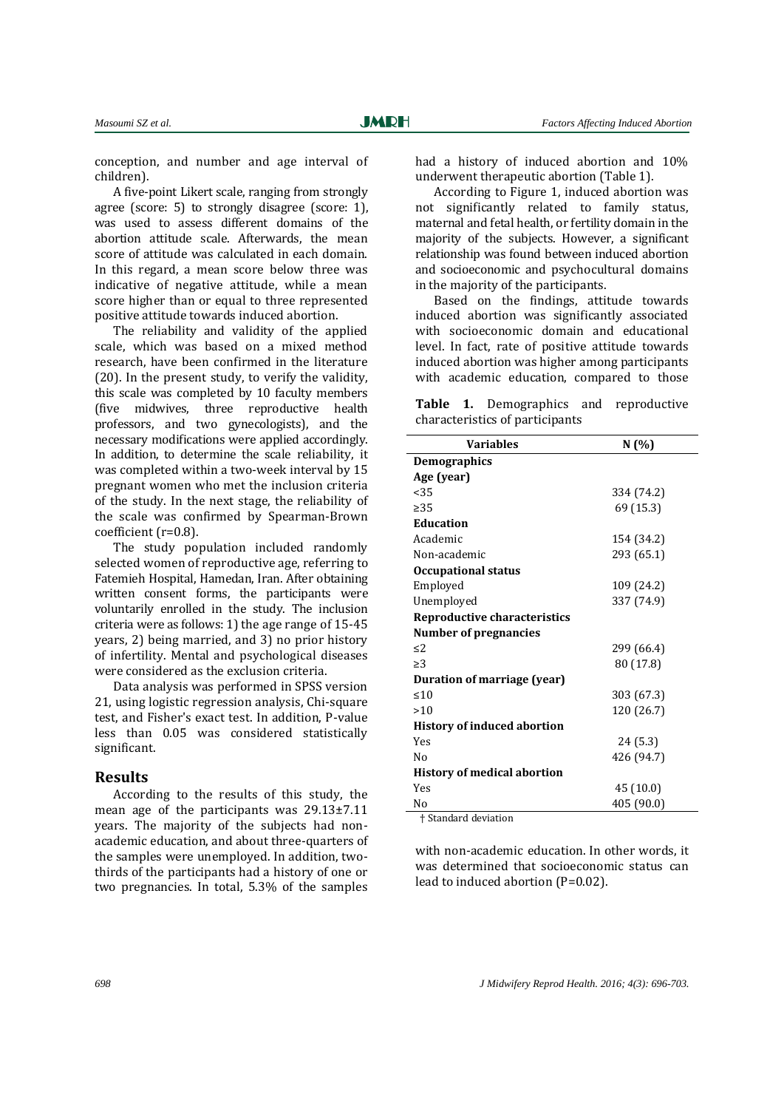conception, and number and age interval of children).

A five-point Likert scale, ranging from strongly agree (score: 5) to strongly disagree (score: 1), was used to assess different domains of the abortion attitude scale. Afterwards, the mean score of attitude was calculated in each domain. In this regard, a mean score below three was indicative of negative attitude, while a mean score higher than or equal to three represented positive attitude towards induced abortion.

The reliability and validity of the applied scale, which was based on a mixed method research, have been confirmed in the literature [\(20\)](#page-7-9). In the present study, to verify the validity, this scale was completed by 10 faculty members (five midwives, three reproductive health professors, and two gynecologists), and the necessary modifications were applied accordingly. In addition, to determine the scale reliability, it was completed within a two-week interval by 15 pregnant women who met the inclusion criteria of the study. In the next stage, the reliability of the scale was confirmed by Spearman-Brown coefficient (r=0.8).

The study population included randomly selected women of reproductive age, referring to Fatemieh Hospital, Hamedan, Iran. After obtaining written consent forms, the participants were voluntarily enrolled in the study. The inclusion criteria were as follows: 1) the age range of 15-45 years, 2) being married, and 3) no prior history of infertility. Mental and psychological diseases were considered as the exclusion criteria.

Data analysis was performed in SPSS version 21, using logistic regression analysis, Chi-square test, and Fisher's exact test. In addition, P-value less than 0.05 was considered statistically significant.

# **Results**

According to the results of this study, the mean age of the participants was 29.13±7.11 years. The majority of the subjects had nonacademic education, and about three-quarters of the samples were unemployed. In addition, twothirds of the participants had a history of one or two pregnancies. In total, 5.3% of the samples

had a history of induced abortion and 10% underwent therapeutic abortion (Table 1).

According to Figure 1, induced abortion was not significantly related to family status, maternal and fetal health, or fertility domain in the majority of the subjects. However, a significant relationship was found between induced abortion and socioeconomic and psychocultural domains in the majority of the participants.

Based on the findings, attitude towards induced abortion was significantly associated with socioeconomic domain and educational level. In fact, rate of positive attitude towards induced abortion was higher among participants with academic education, compared to those

**Table 1.** Demographics and reproductive characteristics of participants

| <b>Variables</b>                   | N(%)       |
|------------------------------------|------------|
| <b>Demographics</b>                |            |
| Age (year)                         |            |
| < 35                               | 334 (74.2) |
| $\geq 35$                          | 69 (15.3)  |
| <b>Education</b>                   |            |
| Academic                           | 154 (34.2) |
| Non-academic                       | 293 (65.1) |
| <b>Occupational status</b>         |            |
| Employed                           | 109 (24.2) |
| Unemployed                         | 337 (74.9) |
| Reproductive characteristics       |            |
| <b>Number of pregnancies</b>       |            |
| $\leq$ 2                           | 299 (66.4) |
| $\geq$ 3                           | 80 (17.8)  |
| Duration of marriage (year)        |            |
| $\leq 10$                          | 303 (67.3) |
| >10                                | 120 (26.7) |
| <b>History of induced abortion</b> |            |
| Yes                                | 24 (5.3)   |
| Nο                                 | 426 (94.7) |
| <b>History of medical abortion</b> |            |
| Yes                                | 45 (10.0)  |
| No                                 | 405 (90.0) |

† Standard deviation

with non-academic education. In other words, it was determined that socioeconomic status can lead to induced abortion (P=0.02).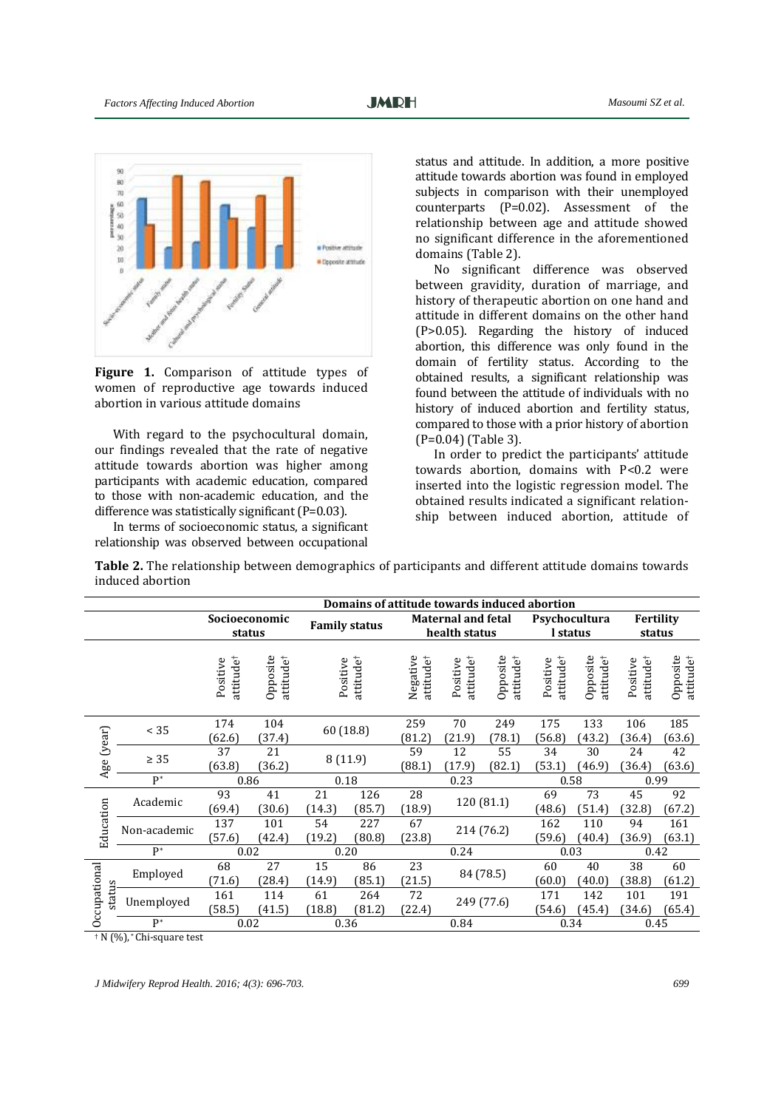

Figure 1. Comparison of attitude types of women of reproductive age towards induced abortion in various attitude domains

With regard to the psychocultural domain, our findings revealed that the rate of negative attitude towards abortion was higher among participants with academic education, compared to those with non-academic education, and the difference was statistically significant (P=0.03).

In terms of socioeconomic status, a significant relationship was observed between occupational

status and attitude. In addition, a more positive attitude towards abortion was found in employed subjects in comparison with their unemployed counterparts (P=0.02). Assessment of the relationship between age and attitude showed no significant difference in the aforementioned domains (Table 2).

No significant difference was observed between gravidity, duration of marriage, and history of therapeutic abortion on one hand and attitude in different domains on the other hand (P>0.05). Regarding the history of induced abortion, this difference was only found in the domain of fertility status. According to the obtained results, a significant relationship was found between the attitude of individuals with no history of induced abortion and fertility status, compared to those with a prior history of abortion (P=0.04) (Table 3).

In order to predict the participants' attitude towards abortion, domains with P<0.2 were inserted into the logistic regression model. The obtained results indicated a significant relationship between induced abortion, attitude of

**Table 2.** The relationship between demographics of participants and different attitude domains towards induced abortion

|                        |                            | Domains of attitude towards induced abortion |                                   |                      |                            |                                            |                       |                                   |                           |                                   |                       |                                   |
|------------------------|----------------------------|----------------------------------------------|-----------------------------------|----------------------|----------------------------|--------------------------------------------|-----------------------|-----------------------------------|---------------------------|-----------------------------------|-----------------------|-----------------------------------|
|                        |                            | Socioeconomic<br>status                      |                                   | <b>Family status</b> |                            | <b>Maternal and fetal</b><br>health status |                       |                                   | Psychocultura<br>I status |                                   | Fertility<br>status   |                                   |
|                        |                            | attitude†<br>Positive                        | Opposite<br>attitude <sup>†</sup> | Positive             | attitude†                  | Negative<br>attitude <sup>†</sup>          | attitude†<br>Positive | Opposite<br>attitude <sup>†</sup> | attitude†<br>Positive     | Opposite<br>attitude <sup>†</sup> | attitude†<br>Positive | Opposite<br>attitude <sup>†</sup> |
| Age (year)             | $< 35$                     | 174<br>(62.6)                                | 104<br>(37.4)                     |                      | 259<br>60 (18.8)<br>(81.2) |                                            | 70<br>(21.9)          | 249<br>(78.1)                     | 175<br>(56.8)             | 133<br>(43.2)                     | 106<br>(36.4)         | 185<br>(63.6)                     |
|                        | $\geq 35$                  | 37<br>(63.8)                                 | 21<br>(36.2)                      |                      | 8(11.9)                    |                                            | 12<br>(17.9)          | 55<br>(82.1)                      | 34<br>(53.1)              | 30<br>(46.9)                      | 24<br>(36.4)          | 42<br>(63.6)                      |
|                        | $P^*$                      | 0.86                                         |                                   | 0.18                 |                            |                                            | 0.23                  |                                   | 0.58                      |                                   | 0.99                  |                                   |
| Education              | Academic                   | 93<br>(69.4)                                 | 41<br>(30.6)                      | 21<br>(14.3)         | 126<br>(85.7)              | 28<br>(18.9)                               | 120 (81.1)            |                                   | 69<br>(48.6)              | 73<br>(51.4)                      | 45<br>(32.8)          | 92<br>(67.2)                      |
|                        | Non-academic               | 137<br>(57.6)                                | 101<br>(42.4)                     | 54<br>(19.2)         | 227<br>(80.8)              | 67<br>(23.8)                               | 214 (76.2)            |                                   | 162<br>(59.6)             | 110<br>(40.4)                     | 94<br>(36.9)          | 161<br>(63.1)                     |
|                        | $P^*$                      | 0.02                                         |                                   | 0.20                 |                            |                                            | 0.24                  |                                   | 0.03                      |                                   | 0.42                  |                                   |
| Occupational<br>status | Employed                   | 68<br>(71.6)                                 | 27<br>(28.4)                      | 15<br>(14.9)         | 86<br>(85.1)               | 23<br>(21.5)                               | 84 (78.5)             |                                   | 60<br>(60.0)              | 40<br>(40.0)                      | 38<br>(38.8)          | 60<br>(61.2)                      |
|                        | Unemployed                 | 161<br>(58.5)                                | 114<br>(41.5)                     | 61<br>(18.8)         | 264<br>(81.2)              | 72<br>(22.4)                               |                       | 249 (77.6)                        | 171<br>(54.6)             | 142<br>(45.4)                     | 101<br>(34.6)         | 191<br>(65.4)                     |
|                        | $P^*$<br>$1.37.6913 + 011$ | 0.02                                         |                                   |                      | 0.36                       | 0.84                                       |                       | 0.34                              |                           | 0.45                              |                       |                                   |

† N (%), \* Chi-square test

*J Midwifery Reprod Health. 2016; 4(3): 696-703. 699*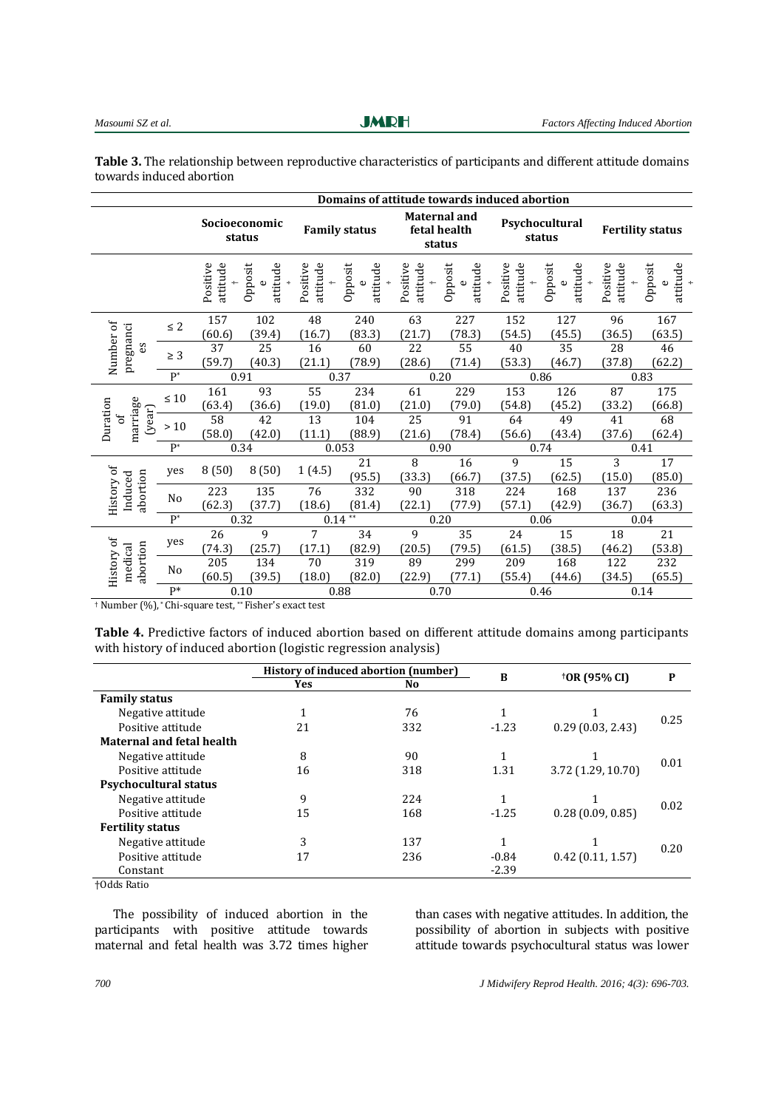**JMRH** 

| Table 3. The relationship between reproductive characteristics of participants and different attitude domains |  |
|---------------------------------------------------------------------------------------------------------------|--|
| towards induced abortion                                                                                      |  |

|                                     |                | Domains of attitude towards induced abortion |                                    |                      |                     |                                               |                                         |                          |                                    |                             |                                    |
|-------------------------------------|----------------|----------------------------------------------|------------------------------------|----------------------|---------------------|-----------------------------------------------|-----------------------------------------|--------------------------|------------------------------------|-----------------------------|------------------------------------|
|                                     |                | Socioeconomic<br>status                      |                                    | <b>Family status</b> |                     | <b>Maternal and</b><br>fetal health<br>status |                                         | Psychocultural<br>status |                                    | <b>Fertility status</b>     |                                    |
|                                     |                | Positive<br>attitude                         | Opposit<br>attitude<br>$\mathbf 0$ | Positive<br>attitude | Opposit<br>attitude | Positive<br>attitude<br>$+$                   | Opposit<br>attitude<br>$\mathbf \omega$ | Positive<br>attitude     | Opposit<br>attitude<br>$\mathbf 0$ | Positive<br>attitude<br>$+$ | Opposit<br>attitude<br>$\mathbf 0$ |
| Number of<br>pregnanci<br>εs        | $\leq 2$       | 157<br>(60.6)                                | 102<br>(39.4)                      | 48<br>(16.7)         | 240<br>(83.3)       | 63<br>(21.7)                                  | 227<br>(78.3)                           | 152<br>(54.5)            | 127<br>(45.5)                      | 96<br>(36.5)                | 167<br>(63.5)                      |
|                                     | $\geq 3$       | 37<br>(59.7)                                 | 25<br>(40.3)                       | 16<br>(21.1)         | 60<br>(78.9)        | 22<br>(28.6)                                  | 55<br>(71.4)                            | 40<br>(53.3)             | 35<br>(46.7)                       | 28<br>(37.8)                | 46<br>(62.2)                       |
| $P^*$                               |                | 0.91                                         |                                    | 0.37                 |                     | 0.20                                          |                                         | 0.86                     |                                    | 0.83                        |                                    |
| marriage<br>Duration<br>(year)<br>Ъ | $\leq 10$      | 161<br>(63.4)                                | 93<br>(36.6)                       | 55<br>(19.0)         | 234<br>(81.0)       | 61<br>(21.0)                                  | 229<br>(79.0)                           | 153<br>(54.8)            | 126<br>(45.2)                      | 87<br>(33.2)                | 175<br>(66.8)                      |
|                                     | $>10$          | 58<br>(58.0)                                 | 42<br>(42.0)                       | 13<br>(11.1)         | 104<br>(88.9)       | 25<br>(21.6)                                  | 91<br>(78.4)                            | 64<br>(56.6)             | 49<br>(43.4)                       | 41<br>(37.6)                | 68<br>(62.4)                       |
|                                     | $P^*$          | 0.34                                         |                                    | 0.053                |                     | 0.90                                          |                                         | 0.74                     |                                    | 0.41                        |                                    |
| History of<br>abortion<br>Induced   | ves            | 8(50)                                        | 8(50)                              | 1(4.5)               | 21<br>(95.5)        | $\, 8$<br>(33.3)                              | 16<br>(66.7)                            | 9<br>(37.5)              | 15<br>(62.5)                       | 3<br>(15.0)                 | 17<br>(85.0)                       |
|                                     | No             | 223<br>(62.3)                                | 135<br>(37.7)                      | 76<br>(18.6)         | 332<br>(81.4)       | 90<br>(22.1)                                  | 318<br>(77.9)                           | 224<br>(57.1)            | 168<br>(42.9)                      | 137<br>(36.7)               | 236<br>(63.3)                      |
|                                     | $P^*$          | 0.32                                         |                                    | $0.14**$             |                     | 0.20                                          |                                         | 0.06                     |                                    | 0.04                        |                                    |
| History of<br>abortion<br>medical   | yes            | $\overline{26}$                              | 9                                  | 7                    | 34                  | 9                                             | $\overline{35}$                         | $\overline{24}$          | 15                                 | 18                          | $\overline{21}$                    |
|                                     |                | (74.3)                                       | (25.7)                             | (17.1)               | (82.9)              | (20.5)                                        | (79.5)                                  | (61.5)                   | (38.5)                             | (46.2)                      | (53.8)                             |
|                                     | N <sub>0</sub> | 205<br>(60.5)                                | 134<br>(39.5)                      | $70\,$<br>(18.0)     | 319<br>(82.0)       | 89<br>(22.9)                                  | 299<br>(77.1)                           | 209<br>(55.4)            | 168<br>(44.6)                      | 122<br>(34.5)               | 232<br>(65.5)                      |
| $\mathrm{P}^*$<br>201.              |                |                                              | 0.10                               |                      | 0.88                |                                               | 0.70                                    |                          | 0.46                               |                             | 0.14                               |

† Number (%), \* Chi-square test, \*\* Fisher's exact test

**Table 4.** Predictive factors of induced abortion based on different attitude domains among participants with history of induced abortion (logistic regression analysis)

|                                  |     | History of induced abortion (number) |         |                    |      |
|----------------------------------|-----|--------------------------------------|---------|--------------------|------|
|                                  | Yes | No                                   | B       | †OR (95% CI)       | P    |
| <b>Family status</b>             |     |                                      |         |                    |      |
| Negative attitude                | 1   | 76                                   |         |                    | 0.25 |
| Positive attitude                | 21  | 332                                  | $-1.23$ | 0.29(0.03, 2.43)   |      |
| <b>Maternal and fetal health</b> |     |                                      |         |                    |      |
| Negative attitude                | 8   | 90                                   |         |                    | 0.01 |
| Positive attitude                | 16  | 318                                  | 1.31    | 3.72 (1.29, 10.70) |      |
| <b>Psychocultural status</b>     |     |                                      |         |                    |      |
| Negative attitude                | 9   | 224                                  |         |                    | 0.02 |
| Positive attitude                | 15  | 168                                  | $-1.25$ | 0.28(0.09, 0.85)   |      |
| <b>Fertility status</b>          |     |                                      |         |                    |      |
| Negative attitude                | 3   | 137                                  |         |                    | 0.20 |
| Positive attitude                | 17  | 236                                  | $-0.84$ | 0.42(0.11, 1.57)   |      |
| Constant                         |     |                                      | $-2.39$ |                    |      |
| $L \cap J J \subset \mathbb{R}$  |     |                                      |         |                    |      |

†Odds Ratio

The possibility of induced abortion in the participants with positive attitude towards maternal and fetal health was 3.72 times higher

than cases with negative attitudes. In addition, the possibility of abortion in subjects with positive attitude towards psychocultural status was lower

*700 J Midwifery Reprod Health. 2016; 4(3): 696-703.*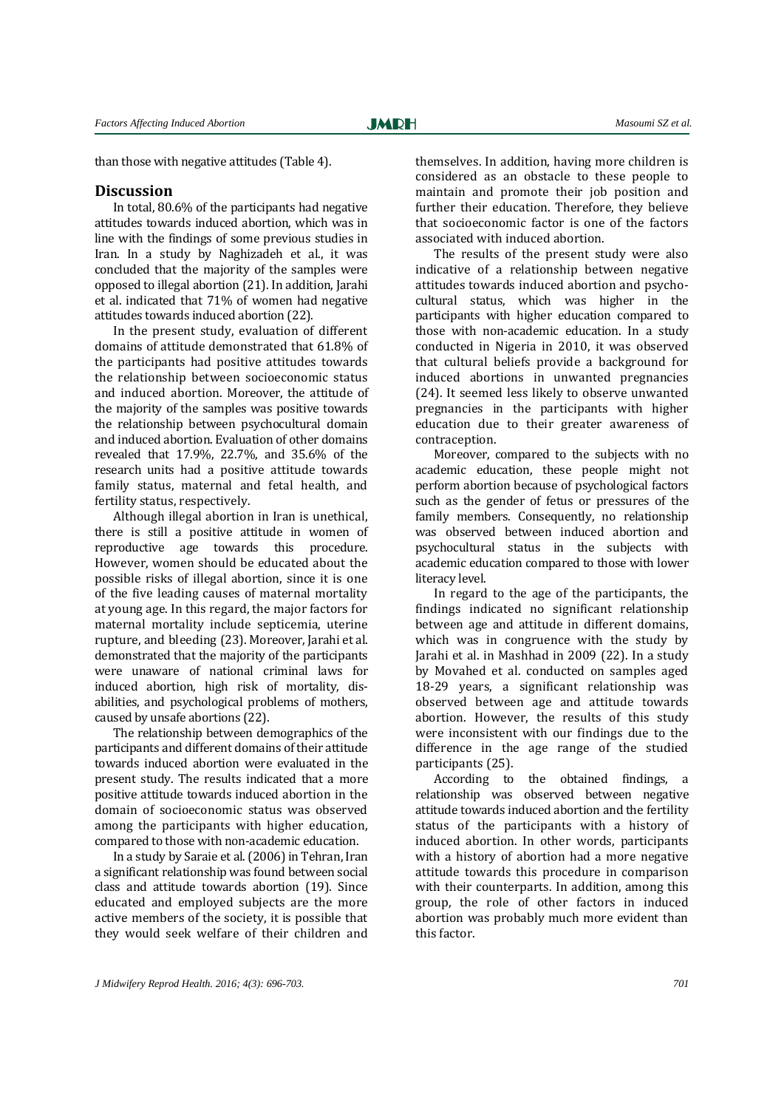than those with negative attitudes (Table 4).

#### **Discussion**

In total, 80.6% of the participants had negative attitudes towards induced abortion, which was in line with the findings of some previous studies in Iran. In a study by Naghizadeh et al., it was concluded that the majority of the samples were opposed to illegal abortion [\(21\)](#page-7-10). In addition, Jarahi et al. indicated that 71% of women had negative attitudes towards induced abortion [\(22\)](#page-7-11).

In the present study, evaluation of different domains of attitude demonstrated that 61.8% of the participants had positive attitudes towards the relationship between socioeconomic status and induced abortion. Moreover, the attitude of the majority of the samples was positive towards the relationship between psychocultural domain and induced abortion. Evaluation of other domains revealed that 17.9%, 22.7%, and 35.6% of the research units had a positive attitude towards family status, maternal and fetal health, and fertility status, respectively.

Although illegal abortion in Iran is unethical, there is still a positive attitude in women of reproductive age towards this procedure. However, women should be educated about the possible risks of illegal abortion, since it is one of the five leading causes of maternal mortality at young age. In this regard, the major factors for maternal mortality include septicemia, uterine rupture, and bleeding [\(23\)](#page-7-12). Moreover, Jarahi et al. demonstrated that the majority of the participants were unaware of national criminal laws for induced abortion, high risk of mortality, disabilities, and psychological problems of mothers, caused by unsafe abortions [\(22\)](#page-7-11).

The relationship between demographics of the participants and different domains of their attitude towards induced abortion were evaluated in the present study. The results indicated that a more positive attitude towards induced abortion in the domain of socioeconomic status was observed among the participants with higher education, compared to those with non-academic education.

In a study by Saraie et al. (2006) in Tehran, Iran a significant relationship was found between social class and attitude towards abortion [\(19\)](#page-7-8). Since educated and employed subjects are the more active members of the society, it is possible that they would seek welfare of their children and themselves. In addition, having more children is considered as an obstacle to these people to maintain and promote their job position and further their education. Therefore, they believe that socioeconomic factor is one of the factors associated with induced abortion.

The results of the present study were also indicative of a relationship between negative attitudes towards induced abortion and psychocultural status, which was higher in the participants with higher education compared to those with non-academic education. In a study conducted in Nigeria in 2010, it was observed that cultural beliefs provide a background for induced abortions in unwanted pregnancies [\(24\)](#page-7-13). It seemed less likely to observe unwanted pregnancies in the participants with higher education due to their greater awareness of contraception.

Moreover, compared to the subjects with no academic education, these people might not perform abortion because of psychological factors such as the gender of fetus or pressures of the family members. Consequently, no relationship was observed between induced abortion and psychocultural status in the subjects with academic education compared to those with lower literacy level.

In regard to the age of the participants, the findings indicated no significant relationship between age and attitude in different domains, which was in congruence with the study by Jarahi et al. in Mashhad in 2009 [\(22\)](#page-7-11). In a study by Movahed et al. conducted on samples aged 18-29 years, a significant relationship was observed between age and attitude towards abortion. However, the results of this study were inconsistent with our findings due to the difference in the age range of the studied participants (25).

According to the obtained findings, a relationship was observed between negative attitude towards induced abortion and the fertility status of the participants with a history of induced abortion. In other words, participants with a history of abortion had a more negative attitude towards this procedure in comparison with their counterparts. In addition, among this group, the role of other factors in induced abortion was probably much more evident than this factor.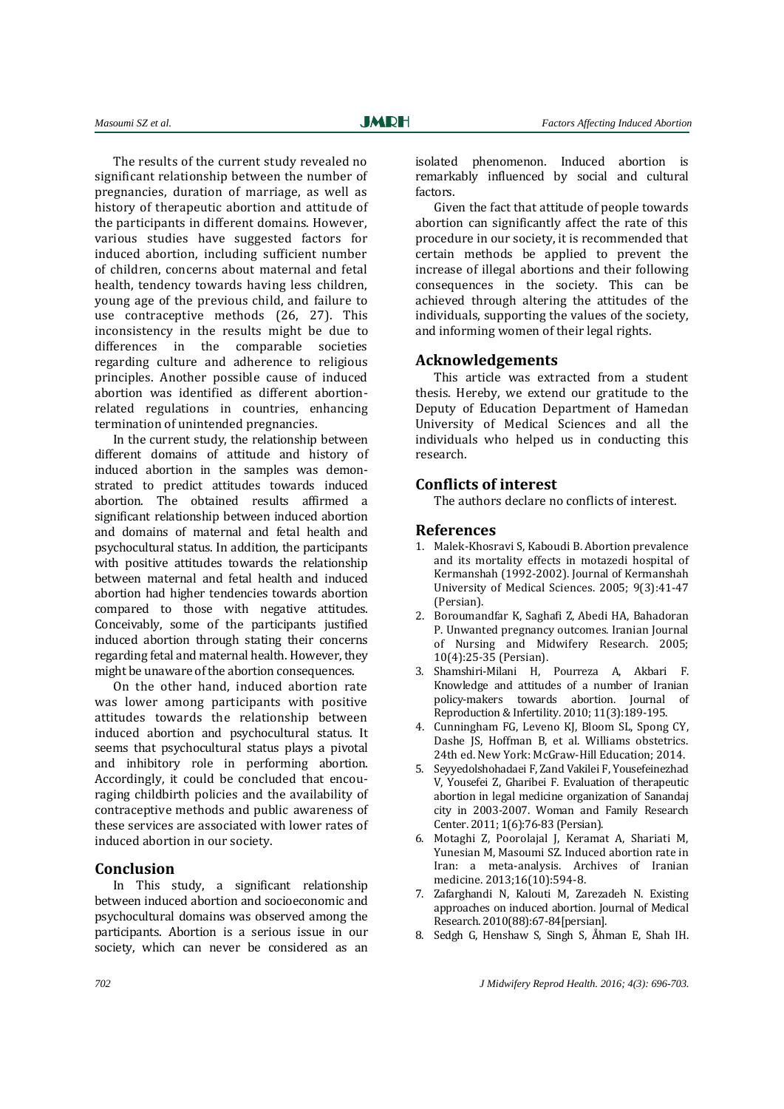The results of the current study revealed no significant relationship between the number of pregnancies, duration of marriage, as well as history of therapeutic abortion and attitude of the participants in different domains. However, various studies have suggested factors for induced abortion, including sufficient number of children, concerns about maternal and fetal health, tendency towards having less children, young age of the previous child, and failure to use contraceptive methods (26, 27). This inconsistency in the results might be due to differences in the comparable societies regarding culture and adherence to religious principles. Another possible cause of induced abortion was identified as different abortionrelated regulations in countries, enhancing termination of unintended pregnancies.

In the current study, the relationship between different domains of attitude and history of induced abortion in the samples was demonstrated to predict attitudes towards induced abortion. The obtained results affirmed a significant relationship between induced abortion and domains of maternal and fetal health and psychocultural status. In addition, the participants with positive attitudes towards the relationship between maternal and fetal health and induced abortion had higher tendencies towards abortion compared to those with negative attitudes. Conceivably, some of the participants justified induced abortion through stating their concerns regarding fetal and maternal health. However, they might be unaware of the abortion consequences.

On the other hand, induced abortion rate was lower among participants with positive attitudes towards the relationship between induced abortion and psychocultural status. It seems that psychocultural status plays a pivotal and inhibitory role in performing abortion. Accordingly, it could be concluded that encouraging childbirth policies and the availability of contraceptive methods and public awareness of these services are associated with lower rates of induced abortion in our society.

#### **Conclusion**

In This study, a significant relationship between induced abortion and socioeconomic and psychocultural domains was observed among the participants. Abortion is a serious issue in our society, which can never be considered as an

isolated phenomenon. Induced abortion is remarkably influenced by social and cultural factors.

Given the fact that attitude of people towards abortion can significantly affect the rate of this procedure in our society, it is recommended that certain methods be applied to prevent the increase of illegal abortions and their following consequences in the society. This can be achieved through altering the attitudes of the individuals, supporting the values of the society, and informing women of their legal rights.

#### **Acknowledgements**

This article was extracted from a student thesis. Hereby, we extend our gratitude to the Deputy of Education Department of Hamedan University of Medical Sciences and all the individuals who helped us in conducting this research.

## **Conflicts of interest**

The authors declare no conflicts of interest.

#### **References**

- <span id="page-6-0"></span>1. Malek-Khosravi S, Kaboudi B. Abortion prevalence and its mortality effects in motazedi hospital of Kermanshah (1992-2002). Journal of Kermanshah University of Medical Sciences. 2005; 9(3):41-47 (Persian).
- <span id="page-6-1"></span>2. Boroumandfar K, Saghafi Z, Abedi HA, Bahadoran P. Unwanted pregnancy outcomes. Iranian Journal of Nursing and Midwifery Research. 2005; 10(4):25-35 (Persian).
- <span id="page-6-2"></span>3. Shamshiri-Milani H, Pourreza A, Akbari F. Knowledge and attitudes of a number of Iranian policy-makers towards abortion. Journal of Reproduction & Infertility. 2010; 11(3):189-195.
- <span id="page-6-3"></span>4. Cunningham FG, Leveno KJ, Bloom SL, Spong CY, Dashe JS, Hoffman B, et al. Williams obstetrics. 24th ed. New York: McGraw-Hill Education; 2014.
- <span id="page-6-4"></span>5. Seyyedolshohadaei F, Zand Vakilei F, Yousefeinezhad V, Yousefei Z, Gharibei F. Evaluation of therapeutic abortion in legal medicine organization of Sanandaj city in 2003-2007. Woman and Family Research Center. 2011; 1(6):76-83 (Persian).
- <span id="page-6-5"></span>6. Motaghi Z, Poorolajal J, Keramat A, Shariati M, Yunesian M, Masoumi SZ. Induced abortion rate in Iran: a meta-analysis. Archives of Iranian medicine. 2013;16(10):594-8.
- 7. Zafarghandi N, Kalouti M, Zarezadeh N. Existing approaches on induced abortion. Journal of Medical Research. 2010(88):67-84[persian].
- 8. Sedgh G, Henshaw S, Singh S, Åhman E, Shah IH.

*702 J Midwifery Reprod Health. 2016; 4(3): 696-703.*